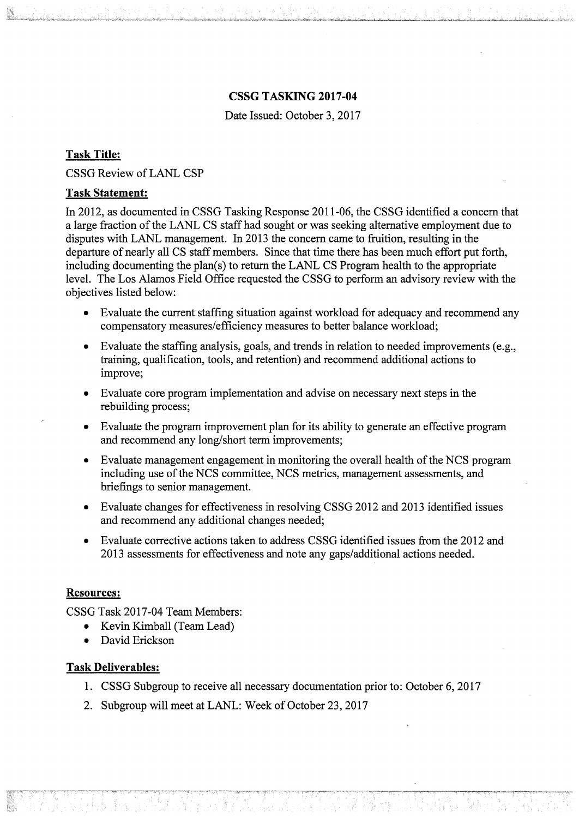## CSSG TASKING 2017-04

Date Issued: October 3, 2017

# Task Title:

CSSG Review of LANL CSP

## Task Statement:

In 2012, as documented in CSSG Tasking Response 2011-06, the CSSG identified a concern that a large fraction of the LANL CS staff had sought or was seeking alternative employment due to disputes with LANL management. In 2013 the concern came to fruition, resulting in the departure of nearly all CS staff members. Since that time there has been much effort put forth, including documenting the plan(s) to return the LANL CS Program health to the appropriate level. The Los Alamos Field Office requested the CSSG to perform an advisory review with the objectives listed below:

- Evaluate the current staffing situation against workload for adequacy and recommend any compensatory measures/efficiency measures to better balance workload;
- Evaluate the staffmg analysis, goals, and trends in relation to needed improvements (e.g., training, qualification, tools, and retention) and recommend additional actions to improve;
- Evaluate core program implementation and advise on necessary next steps in the rebuilding process;
- Evaluate the program improvement plan for its ability to generate an effective program and recommend any long/short term improvements;
- Evaluate management engagement in monitoring the overall health of the NCS program including use of the NCS committee, NCS metrics, management assessments, and briefings to senior management.
- Evaluate changes for effectiveness in resolving CSSG 2012 and 2013 identified issues and recommend any additional changes needed;
- Evaluate corrective actions taken to address CSSG identified issues from the 2012 and 2013 assessments for effectiveness and note any gaps/additional actions needed.

### Resources:

CSSG Task 2017-04 Team Members:

- Kevin Kimball (Team Lead)
- David Erickson

### Task Deliverables:

- 1. CSSG Subgroup to receive all necessary documentation prior to: October 6, 2017
- 2. Subgroup will meet at LANL: Week of October 23, 2017